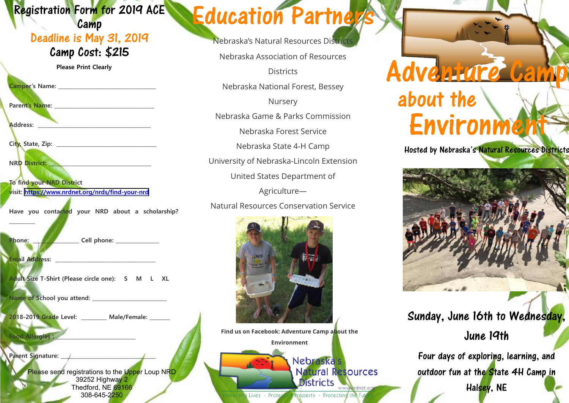#### Registration Form for 2019 ACE

#### **Camp** Deadline is May 31, 2019 Camp Cost: \$215

**Please Print Clearly**

**Camper's Name: \_\_\_\_\_\_\_\_\_\_\_\_\_\_\_\_\_\_\_\_\_\_\_\_\_\_\_\_\_\_\_\_\_\_\_\_\_\_**

Parent's Name:

**Address: \_\_\_\_\_\_\_\_\_\_\_\_\_\_\_\_\_\_\_\_\_\_\_\_\_\_\_\_\_\_\_\_\_\_\_\_\_\_\_\_\_\_\_\_**

**City, State, Zip: \_\_\_\_\_\_\_\_\_\_\_\_\_\_\_\_\_\_\_\_\_\_\_\_\_\_\_\_\_\_\_\_\_\_\_\_\_\_\_**

**NRD District: \_\_\_\_\_\_\_\_\_\_\_\_\_\_\_\_\_\_\_\_\_\_\_\_\_\_\_\_\_\_\_\_\_\_\_\_\_\_\_\_**

**To find your NRD District visit:<https://www.nrdnet.org/nrds/find-your-nrd>**

**Have you contacted your NRD about a scholarship?** 

Phone: **2008** Cell phone: **2008** Cell phone: **2008** 2019

**Email Address: \_\_\_\_\_\_\_\_\_\_\_\_\_\_\_\_\_\_\_\_\_\_\_\_\_\_\_\_\_\_\_\_\_\_\_\_\_\_\_**

**Food Allergies :** 

**Parent Signature:** 

**\_\_\_\_\_\_\_\_\_\_**

**Adult Size T-Shirt (Please circle one): S M L XL**

**Name of School you attend: \_\_\_\_\_\_\_\_\_\_\_\_\_\_\_\_\_\_\_\_\_\_\_\_\_\_\_\_\_**

**2018-2019 Grade Level: \_\_\_\_\_\_\_\_\_\_ Male/Female: \_\_\_\_\_\_\_\_**

Please send registrations to the Upper Loup NRD 39252 Highway 2 Thedford, NE 69166 308-645-2250

## Education Partners

Nebraska's Natural Resources Distric

Nebraska Association of Resources

**Districts** 

Nebraska National Forest, Bessey

Nursery

Nebraska Game & Parks Commission

Nebraska Forest Service

Nebraska State 4-H Camp

University of Nebraska-Lincoln Extension

United States Department of

Agriculture—

Natural Resources Conservation Service



**Find us on Facebook: Adventure Camp about the Environment** Nebraska's **Natural Resources Districts** 

Lives · Protecting Property · Protecting the Fut

www.nrdnet.or

# Adventure about the Environme

Hosted by Nebraska's Natural Resources Districts



Sunday, June 16th to Wednesday,

June 19th

Four days of exploring, learning, and outdoor fun at the State 4H Camp in Halsey, NE